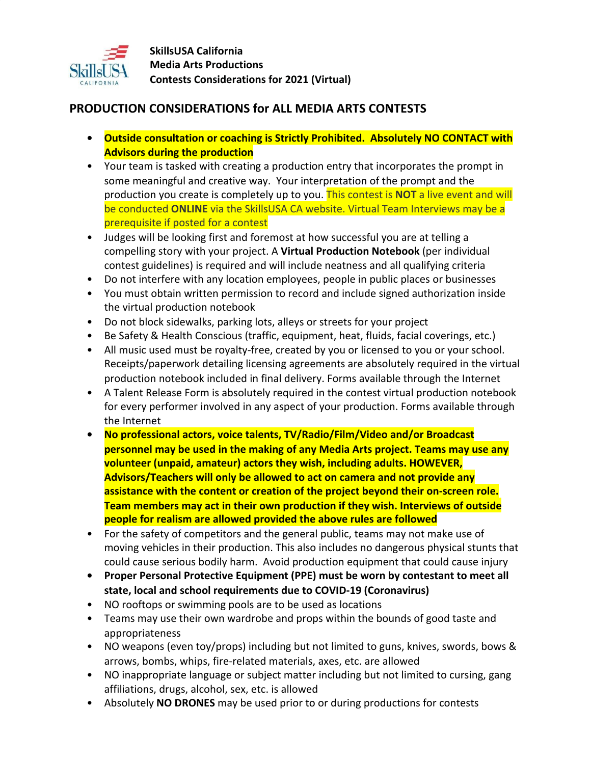

## **PRODUCTION CONSIDERATIONS for ALL MEDIA ARTS CONTESTS**

- **• Outside consultation or coaching is Strictly Prohibited. Absolutely NO CONTACT with Advisors during the production**
- Your team is tasked with creating a production entry that incorporates the prompt in some meaningful and creative way. Your interpretation of the prompt and the production you create is completely up to you. This contest is **NOT** a live event and will be conducted **ONLINE** via the SkillsUSA CA website. Virtual Team Interviews may be a prerequisite if posted for a contest
- Judges will be looking first and foremost at how successful you are at telling a compelling story with your project. A **Virtual Production Notebook** (per individual contest guidelines) is required and will include neatness and all qualifying criteria
- Do not interfere with any location employees, people in public places or businesses
- You must obtain written permission to record and include signed authorization inside the virtual production notebook
- Do not block sidewalks, parking lots, alleys or streets for your project
- Be Safety & Health Conscious (traffic, equipment, heat, fluids, facial coverings, etc.)
- All music used must be royalty-free, created by you or licensed to you or your school. Receipts/paperwork detailing licensing agreements are absolutely required in the virtual production notebook included in final delivery. Forms available through the Internet
- A Talent Release Form is absolutely required in the contest virtual production notebook for every performer involved in any aspect of your production. Forms available through the Internet
- **• No professional actors, voice talents, TV/Radio/Film/Video and/or Broadcast personnel may be used in the making of any Media Arts project. Teams may use any volunteer (unpaid, amateur) actors they wish, including adults. HOWEVER, Advisors/Teachers will only be allowed to act on camera and not provide any assistance with the content or creation of the project beyond their on-screen role. Team members may act in their own production if they wish. Interviews of outside people for realism are allowed provided the above rules are followed**
- For the safety of competitors and the general public, teams may not make use of moving vehicles in their production. This also includes no dangerous physical stunts that could cause serious bodily harm. Avoid production equipment that could cause injury
- **• Proper Personal Protective Equipment (PPE) must be worn by contestant to meet all state, local and school requirements due to COVID-19 (Coronavirus)**
- NO rooftops or swimming pools are to be used as locations
- Teams may use their own wardrobe and props within the bounds of good taste and appropriateness
- NO weapons (even toy/props) including but not limited to guns, knives, swords, bows & arrows, bombs, whips, fire-related materials, axes, etc. are allowed
- NO inappropriate language or subject matter including but not limited to cursing, gang affiliations, drugs, alcohol, sex, etc. is allowed
- Absolutely **NO DRONES** may be used prior to or during productions for contests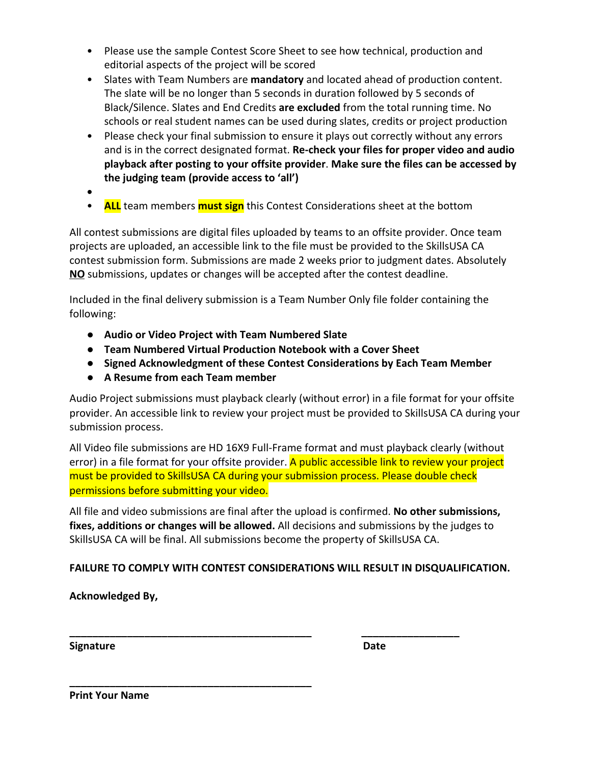- Please use the sample Contest Score Sheet to see how technical, production and editorial aspects of the project will be scored
- Slates with Team Numbers are **mandatory** and located ahead of production content. The slate will be no longer than 5 seconds in duration followed by 5 seconds of Black/Silence. Slates and End Credits **are excluded** from the total running time. No schools or real student names can be used during slates, credits or project production
- Please check your final submission to ensure it plays out correctly without any errors and is in the correct designated format. **Re-check your files for proper video and audio playback after posting to your offsite provider**. **Make sure the files can be accessed by the judging team (provide access to 'all')**
- **•**
- **ALL** team members **must sign** this Contest Considerations sheet at the bottom

All contest submissions are digital files uploaded by teams to an offsite provider. Once team projects are uploaded, an accessible link to the file must be provided to the SkillsUSA CA contest submission form. Submissions are made 2 weeks prior to judgment dates. Absolutely **NO** submissions, updates or changes will be accepted after the contest deadline.

Included in the final delivery submission is a Team Number Only file folder containing the following:

- **● Audio or Video Project with Team Numbered Slate**
- **● Team Numbered Virtual Production Notebook with a Cover Sheet**
- **● Signed Acknowledgment of these Contest Considerations by Each Team Member**
- **● A Resume from each Team member**

**\_\_\_\_\_\_\_\_\_\_\_\_\_\_\_\_\_\_\_\_\_\_\_\_\_\_\_\_\_\_\_\_\_\_\_\_\_\_\_\_\_\_**

Audio Project submissions must playback clearly (without error) in a file format for your offsite provider. An accessible link to review your project must be provided to SkillsUSA CA during your submission process.

All Video file submissions are HD 16X9 Full-Frame format and must playback clearly (without error) in a file format for your offsite provider. A public accessible link to review your project must be provided to SkillsUSA CA during your submission process. Please double check permissions before submitting your video.

All file and video submissions are final after the upload is confirmed. **No other submissions, fixes, additions or changes will be allowed.** All decisions and submissions by the judges to SkillsUSA CA will be final. All submissions become the property of SkillsUSA CA.

## **FAILURE TO COMPLY WITH CONTEST CONSIDERATIONS WILL RESULT IN DISQUALIFICATION.**

**\_\_\_\_\_\_\_\_\_\_\_\_\_\_\_\_\_\_\_\_\_\_\_\_\_\_\_\_\_\_\_\_\_\_\_\_\_\_\_\_\_\_ \_\_\_\_\_\_\_\_\_\_\_\_\_\_\_\_\_**

**Acknowledged By,**

**Signature** 

**Print Your Name**